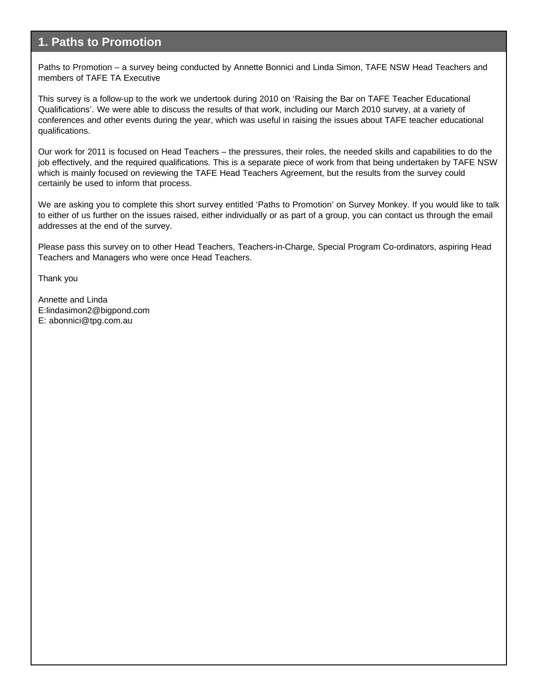#### **1. Paths to Promotion**

Paths to Promotion – a survey being conducted by Annette Bonnici and Linda Simon, TAFE NSW Head Teachers and members of TAFE TA Executive

This survey is a follow-up to the work we undertook during 2010 on 'Raising the Bar on TAFE Teacher Educational Qualifications'. We were able to discuss the results of that work, including our March 2010 survey, at a variety of conferences and other events during the year, which was useful in raising the issues about TAFE teacher educational qualifications.

Our work for 2011 is focused on Head Teachers – the pressures, their roles, the needed skills and capabilities to do the job effectively, and the required qualifications. This is a separate piece of work from that being undertaken by TAFE NSW which is mainly focused on reviewing the TAFE Head Teachers Agreement, but the results from the survey could certainly be used to inform that process.

We are asking you to complete this short survey entitled 'Paths to Promotion' on Survey Monkey. If you would like to talk to either of us further on the issues raised, either individually or as part of a group, you can contact us through the email addresses at the end of the survey.

Please pass this survey on to other Head Teachers, Teachers-in-Charge, Special Program Co-ordinators, aspiring Head Teachers and Managers who were once Head Teachers.

Thank you

Annette and Linda E:lindasimon2@bigpond.com E: abonnici@tpg.com.au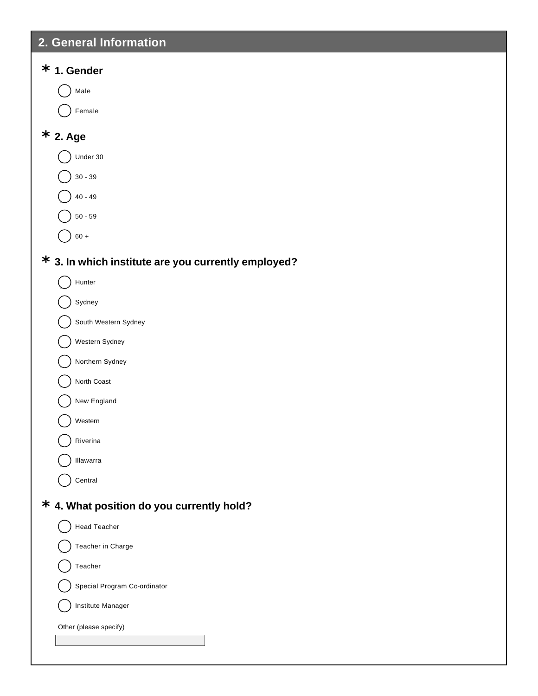## **2. General Information**

# **1. Gender \* 2. Age \* 3. In which institute are you currently employed? \* 4. What position do you currently hold? \*** ) Male Female  $\big)$  Under 30  $30 - 39$ 40 - 49  $50 - 59$  $60 +$ ) Hunter Sydney South Western Sydney Western Sydney Northern Sydney North Coast New England Western Riverina Illawarra Central ) Head Teacher Teacher in Charge  $\bigcap$  Teacher Special Program Co-ordinator Institute Manager Other (please specify)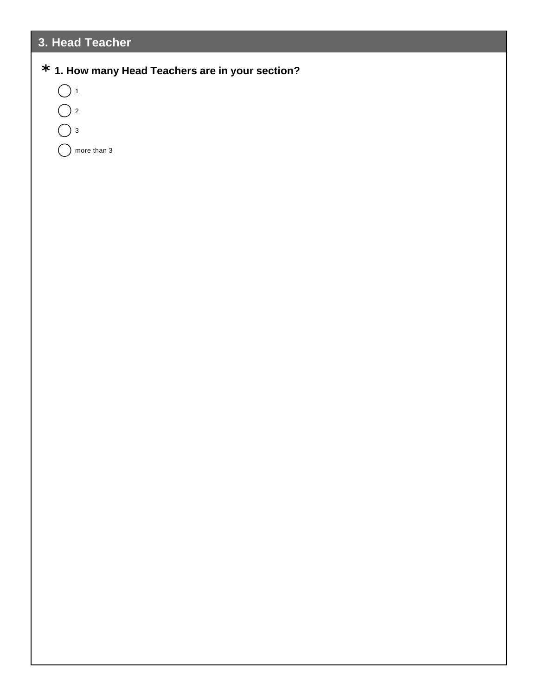## **3. Head Teacher**

### **1. How many Head Teachers are in your section? \***

 $\bigcirc$  1  $\bigcirc$  2  $\bigcap_3$  $\bigcap$  more than 3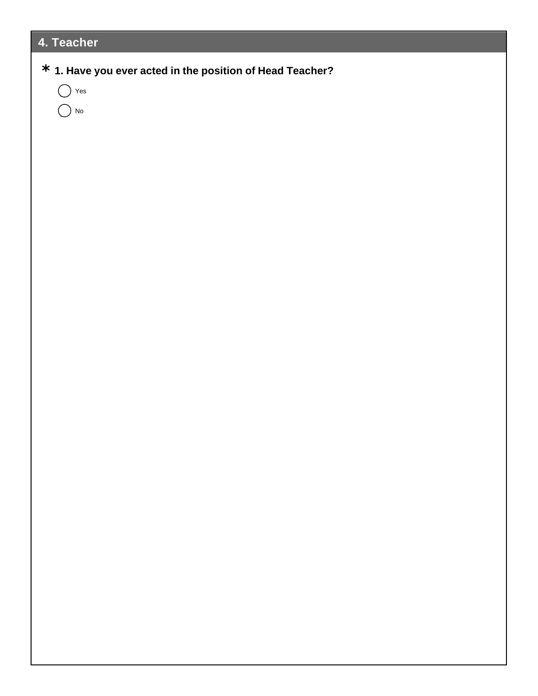## **4. Teacher**

### **1. Have you ever acted in the position of Head Teacher? \***

 $\bigcap$  Yes

 $\bigcirc$  No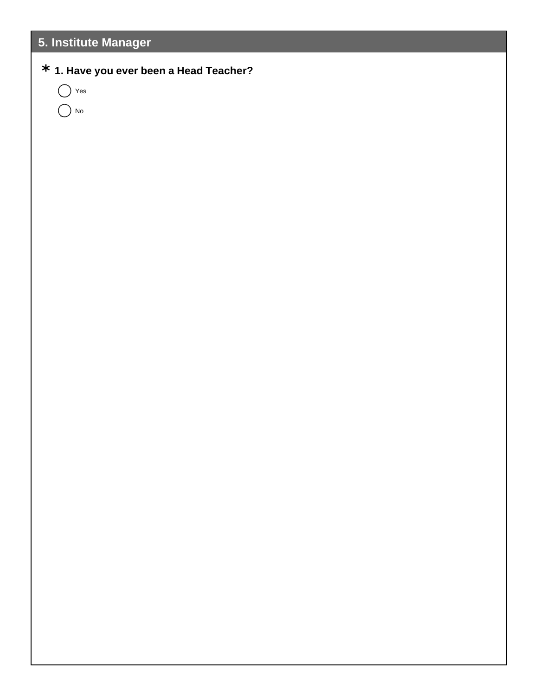## **5. Institute Manager**

### **1. Have you ever been a Head Teacher? \***

 $\bigcap$  Yes  $\bigcap$  No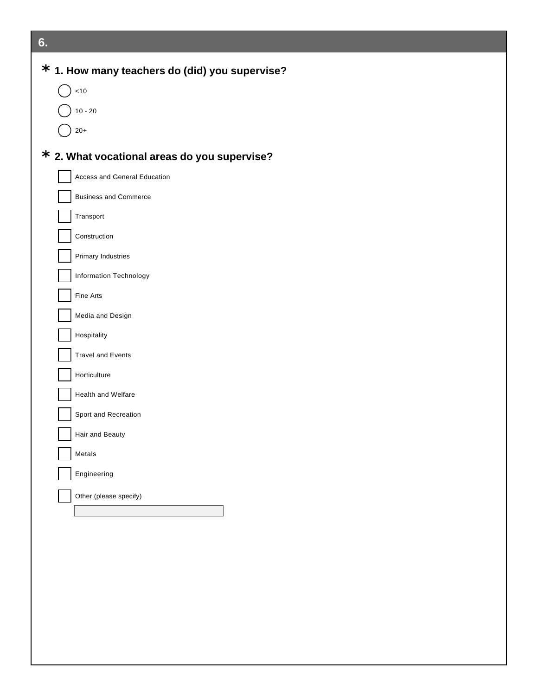| 6.                                               |
|--------------------------------------------------|
| $*$ 1. How many teachers do (did) you supervise? |
| 10                                               |
| $10 - 20$                                        |
| $20+$                                            |
| $*$ 2. What vocational areas do you supervise?   |
| Access and General Education                     |
| <b>Business and Commerce</b>                     |
| Transport                                        |
| Construction                                     |
| Primary Industries                               |
| Information Technology                           |
| Fine Arts                                        |
| Media and Design                                 |
|                                                  |
| Hospitality                                      |
| <b>Travel and Events</b>                         |
| Horticulture                                     |
| Health and Welfare                               |
| Sport and Recreation                             |
| Hair and Beauty                                  |
| Metals                                           |
| Engineering                                      |
| Other (please specify)                           |
|                                                  |
|                                                  |
|                                                  |
|                                                  |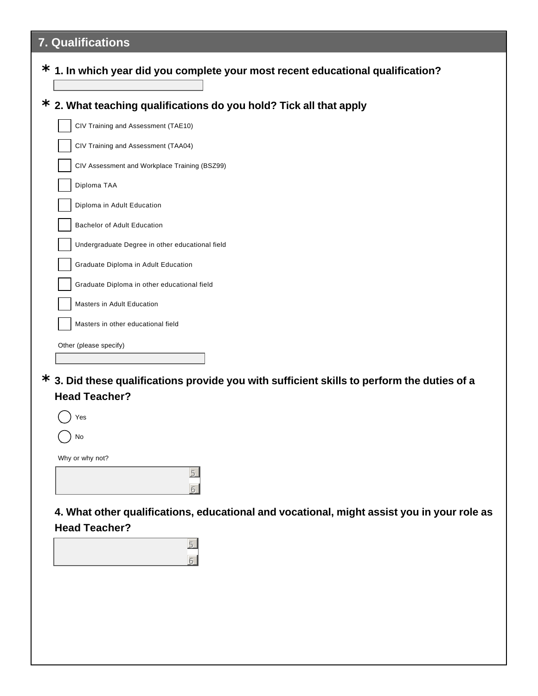## **7. Qualifications**

| $^{\star}$ 2. What teaching qualifications do you hold? Tick all that apply |  |  |
|-----------------------------------------------------------------------------|--|--|
| CIV Training and Assessment (TAE10)                                         |  |  |
| CIV Training and Assessment (TAA04)                                         |  |  |
| CIV Assessment and Workplace Training (BSZ99)                               |  |  |
| Diploma TAA                                                                 |  |  |
| Diploma in Adult Education                                                  |  |  |
| <b>Bachelor of Adult Education</b>                                          |  |  |
| Undergraduate Degree in other educational field                             |  |  |
| Graduate Diploma in Adult Education                                         |  |  |
| Graduate Diploma in other educational field                                 |  |  |
| Masters in Adult Education                                                  |  |  |
| Masters in other educational field                                          |  |  |

**3. Did these qualifications provide you with sufficient skills to perform the duties of a \* Head Teacher?**



**4. What other qualifications, educational and vocational, might assist you in your role as Head Teacher?**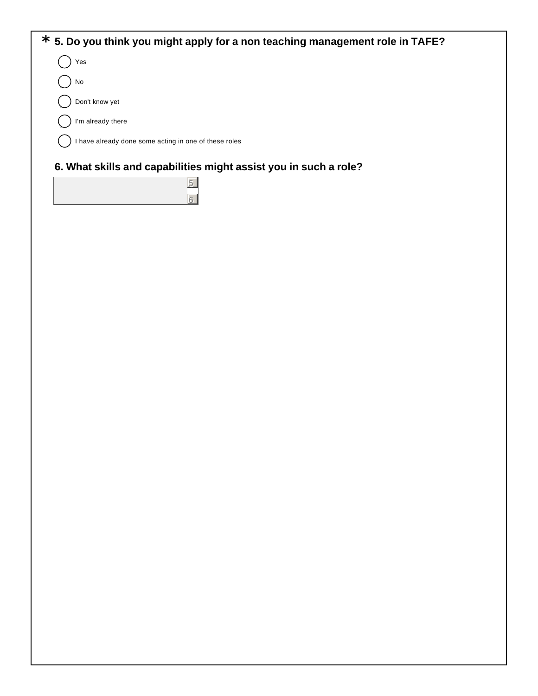

6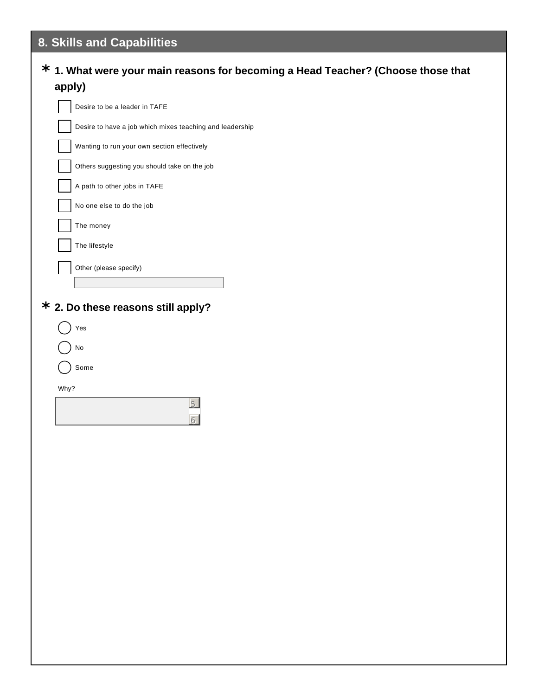## **8. Skills and Capabilities**

#### **1. What were your main reasons for becoming a Head Teacher? (Choose those that \* apply)**

| Desire to be a leader in TAFE                            |  |
|----------------------------------------------------------|--|
| Desire to have a job which mixes teaching and leadership |  |
| Wanting to run your own section effectively              |  |
| Others suggesting you should take on the job             |  |
| A path to other jobs in TAFE                             |  |
| No one else to do the job                                |  |
| The money                                                |  |
| The lifestyle                                            |  |
| Other (please specify)                                   |  |
|                                                          |  |
| $^{\star}$ 2. Do these reasons still apply?              |  |
| Yes                                                      |  |
| No                                                       |  |
| Some                                                     |  |
| Why?                                                     |  |
|                                                          |  |
|                                                          |  |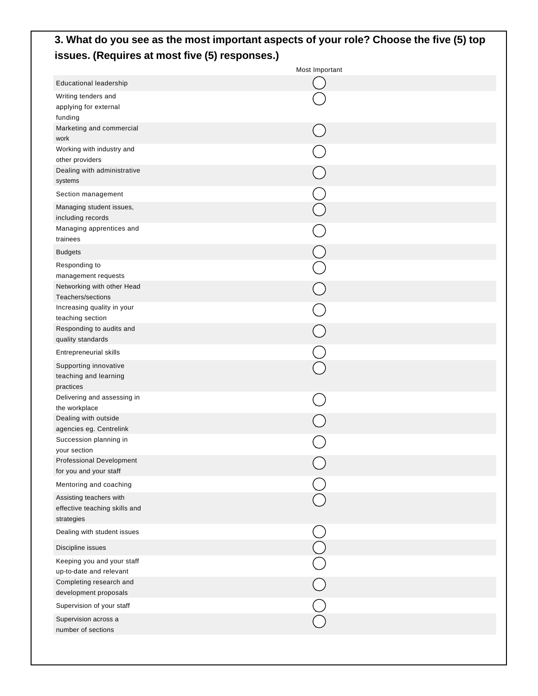#### **3. What do you see as the most important aspects of your role? Choose the five (5) top issues. (Requires at most five (5) responses.)**

| Educational leadership<br>Writing tenders and<br>applying for external<br>funding<br>Marketing and commercial<br>work<br>Working with industry and<br>other providers<br>Dealing with administrative<br>systems<br>Section management<br>Managing student issues,<br>including records<br>Managing apprentices and<br>trainees<br><b>Budgets</b><br>Responding to<br>management requests<br>Networking with other Head<br>Teachers/sections<br>Increasing quality in your<br>teaching section<br>Responding to audits and<br>quality standards<br>Entrepreneurial skills<br>Supporting innovative<br>teaching and learning<br>practices<br>Delivering and assessing in<br>the workplace<br>Dealing with outside<br>agencies eg. Centrelink<br>Succession planning in<br>your section<br><b>Professional Development</b><br>for you and your staff<br>Mentoring and coaching<br>Assisting teachers with<br>effective teaching skills and<br>strategies<br>Dealing with student issues<br>Discipline issues<br>Keeping you and your staff<br>up-to-date and relevant<br>Completing research and<br>development proposals<br>Supervision of your staff<br>Supervision across a<br>number of sections | Most Important |
|---------------------------------------------------------------------------------------------------------------------------------------------------------------------------------------------------------------------------------------------------------------------------------------------------------------------------------------------------------------------------------------------------------------------------------------------------------------------------------------------------------------------------------------------------------------------------------------------------------------------------------------------------------------------------------------------------------------------------------------------------------------------------------------------------------------------------------------------------------------------------------------------------------------------------------------------------------------------------------------------------------------------------------------------------------------------------------------------------------------------------------------------------------------------------------------------------|----------------|
|                                                                                                                                                                                                                                                                                                                                                                                                                                                                                                                                                                                                                                                                                                                                                                                                                                                                                                                                                                                                                                                                                                                                                                                                   |                |
|                                                                                                                                                                                                                                                                                                                                                                                                                                                                                                                                                                                                                                                                                                                                                                                                                                                                                                                                                                                                                                                                                                                                                                                                   |                |
|                                                                                                                                                                                                                                                                                                                                                                                                                                                                                                                                                                                                                                                                                                                                                                                                                                                                                                                                                                                                                                                                                                                                                                                                   |                |
|                                                                                                                                                                                                                                                                                                                                                                                                                                                                                                                                                                                                                                                                                                                                                                                                                                                                                                                                                                                                                                                                                                                                                                                                   |                |
|                                                                                                                                                                                                                                                                                                                                                                                                                                                                                                                                                                                                                                                                                                                                                                                                                                                                                                                                                                                                                                                                                                                                                                                                   |                |
|                                                                                                                                                                                                                                                                                                                                                                                                                                                                                                                                                                                                                                                                                                                                                                                                                                                                                                                                                                                                                                                                                                                                                                                                   |                |
|                                                                                                                                                                                                                                                                                                                                                                                                                                                                                                                                                                                                                                                                                                                                                                                                                                                                                                                                                                                                                                                                                                                                                                                                   |                |
|                                                                                                                                                                                                                                                                                                                                                                                                                                                                                                                                                                                                                                                                                                                                                                                                                                                                                                                                                                                                                                                                                                                                                                                                   |                |
|                                                                                                                                                                                                                                                                                                                                                                                                                                                                                                                                                                                                                                                                                                                                                                                                                                                                                                                                                                                                                                                                                                                                                                                                   |                |
|                                                                                                                                                                                                                                                                                                                                                                                                                                                                                                                                                                                                                                                                                                                                                                                                                                                                                                                                                                                                                                                                                                                                                                                                   |                |
|                                                                                                                                                                                                                                                                                                                                                                                                                                                                                                                                                                                                                                                                                                                                                                                                                                                                                                                                                                                                                                                                                                                                                                                                   |                |
|                                                                                                                                                                                                                                                                                                                                                                                                                                                                                                                                                                                                                                                                                                                                                                                                                                                                                                                                                                                                                                                                                                                                                                                                   |                |
|                                                                                                                                                                                                                                                                                                                                                                                                                                                                                                                                                                                                                                                                                                                                                                                                                                                                                                                                                                                                                                                                                                                                                                                                   |                |
|                                                                                                                                                                                                                                                                                                                                                                                                                                                                                                                                                                                                                                                                                                                                                                                                                                                                                                                                                                                                                                                                                                                                                                                                   |                |
|                                                                                                                                                                                                                                                                                                                                                                                                                                                                                                                                                                                                                                                                                                                                                                                                                                                                                                                                                                                                                                                                                                                                                                                                   |                |
|                                                                                                                                                                                                                                                                                                                                                                                                                                                                                                                                                                                                                                                                                                                                                                                                                                                                                                                                                                                                                                                                                                                                                                                                   |                |
|                                                                                                                                                                                                                                                                                                                                                                                                                                                                                                                                                                                                                                                                                                                                                                                                                                                                                                                                                                                                                                                                                                                                                                                                   |                |
|                                                                                                                                                                                                                                                                                                                                                                                                                                                                                                                                                                                                                                                                                                                                                                                                                                                                                                                                                                                                                                                                                                                                                                                                   |                |
|                                                                                                                                                                                                                                                                                                                                                                                                                                                                                                                                                                                                                                                                                                                                                                                                                                                                                                                                                                                                                                                                                                                                                                                                   |                |
|                                                                                                                                                                                                                                                                                                                                                                                                                                                                                                                                                                                                                                                                                                                                                                                                                                                                                                                                                                                                                                                                                                                                                                                                   |                |
|                                                                                                                                                                                                                                                                                                                                                                                                                                                                                                                                                                                                                                                                                                                                                                                                                                                                                                                                                                                                                                                                                                                                                                                                   |                |
|                                                                                                                                                                                                                                                                                                                                                                                                                                                                                                                                                                                                                                                                                                                                                                                                                                                                                                                                                                                                                                                                                                                                                                                                   |                |
|                                                                                                                                                                                                                                                                                                                                                                                                                                                                                                                                                                                                                                                                                                                                                                                                                                                                                                                                                                                                                                                                                                                                                                                                   |                |
|                                                                                                                                                                                                                                                                                                                                                                                                                                                                                                                                                                                                                                                                                                                                                                                                                                                                                                                                                                                                                                                                                                                                                                                                   |                |
|                                                                                                                                                                                                                                                                                                                                                                                                                                                                                                                                                                                                                                                                                                                                                                                                                                                                                                                                                                                                                                                                                                                                                                                                   |                |
|                                                                                                                                                                                                                                                                                                                                                                                                                                                                                                                                                                                                                                                                                                                                                                                                                                                                                                                                                                                                                                                                                                                                                                                                   |                |
|                                                                                                                                                                                                                                                                                                                                                                                                                                                                                                                                                                                                                                                                                                                                                                                                                                                                                                                                                                                                                                                                                                                                                                                                   |                |
|                                                                                                                                                                                                                                                                                                                                                                                                                                                                                                                                                                                                                                                                                                                                                                                                                                                                                                                                                                                                                                                                                                                                                                                                   |                |
|                                                                                                                                                                                                                                                                                                                                                                                                                                                                                                                                                                                                                                                                                                                                                                                                                                                                                                                                                                                                                                                                                                                                                                                                   |                |
|                                                                                                                                                                                                                                                                                                                                                                                                                                                                                                                                                                                                                                                                                                                                                                                                                                                                                                                                                                                                                                                                                                                                                                                                   |                |
|                                                                                                                                                                                                                                                                                                                                                                                                                                                                                                                                                                                                                                                                                                                                                                                                                                                                                                                                                                                                                                                                                                                                                                                                   |                |
|                                                                                                                                                                                                                                                                                                                                                                                                                                                                                                                                                                                                                                                                                                                                                                                                                                                                                                                                                                                                                                                                                                                                                                                                   |                |
|                                                                                                                                                                                                                                                                                                                                                                                                                                                                                                                                                                                                                                                                                                                                                                                                                                                                                                                                                                                                                                                                                                                                                                                                   |                |
|                                                                                                                                                                                                                                                                                                                                                                                                                                                                                                                                                                                                                                                                                                                                                                                                                                                                                                                                                                                                                                                                                                                                                                                                   |                |
|                                                                                                                                                                                                                                                                                                                                                                                                                                                                                                                                                                                                                                                                                                                                                                                                                                                                                                                                                                                                                                                                                                                                                                                                   |                |
|                                                                                                                                                                                                                                                                                                                                                                                                                                                                                                                                                                                                                                                                                                                                                                                                                                                                                                                                                                                                                                                                                                                                                                                                   |                |
|                                                                                                                                                                                                                                                                                                                                                                                                                                                                                                                                                                                                                                                                                                                                                                                                                                                                                                                                                                                                                                                                                                                                                                                                   |                |
|                                                                                                                                                                                                                                                                                                                                                                                                                                                                                                                                                                                                                                                                                                                                                                                                                                                                                                                                                                                                                                                                                                                                                                                                   |                |
|                                                                                                                                                                                                                                                                                                                                                                                                                                                                                                                                                                                                                                                                                                                                                                                                                                                                                                                                                                                                                                                                                                                                                                                                   |                |
|                                                                                                                                                                                                                                                                                                                                                                                                                                                                                                                                                                                                                                                                                                                                                                                                                                                                                                                                                                                                                                                                                                                                                                                                   |                |
|                                                                                                                                                                                                                                                                                                                                                                                                                                                                                                                                                                                                                                                                                                                                                                                                                                                                                                                                                                                                                                                                                                                                                                                                   |                |
|                                                                                                                                                                                                                                                                                                                                                                                                                                                                                                                                                                                                                                                                                                                                                                                                                                                                                                                                                                                                                                                                                                                                                                                                   |                |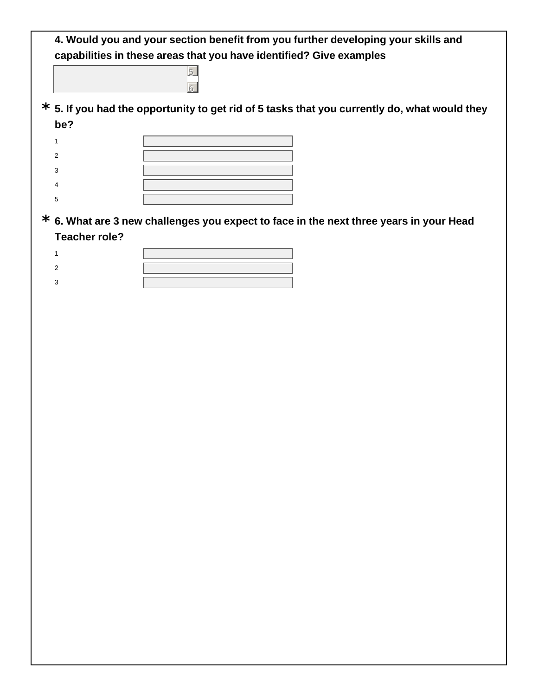|                      | 4. Would you and your section benefit from you further developing your skills and<br>capabilities in these areas that you have identified? Give examples |
|----------------------|----------------------------------------------------------------------------------------------------------------------------------------------------------|
|                      | $\overline{5}$                                                                                                                                           |
|                      | $\star$ 5. If you had the opportunity to get rid of 5 tasks that you currently do, what would they                                                       |
| be?                  |                                                                                                                                                          |
| $\mathbf{1}$         |                                                                                                                                                          |
| $\overline{2}$       |                                                                                                                                                          |
| 3                    |                                                                                                                                                          |
| 4                    |                                                                                                                                                          |
| 5                    |                                                                                                                                                          |
|                      | $*$ 6. What are 3 new challenges you expect to face in the next three years in your Head                                                                 |
| <b>Teacher role?</b> |                                                                                                                                                          |
| $\mathbf{1}$         |                                                                                                                                                          |
| 2                    |                                                                                                                                                          |
| 3                    |                                                                                                                                                          |
|                      |                                                                                                                                                          |
|                      |                                                                                                                                                          |
|                      |                                                                                                                                                          |
|                      |                                                                                                                                                          |
|                      |                                                                                                                                                          |
|                      |                                                                                                                                                          |
|                      |                                                                                                                                                          |
|                      |                                                                                                                                                          |
|                      |                                                                                                                                                          |
|                      |                                                                                                                                                          |
|                      |                                                                                                                                                          |
|                      |                                                                                                                                                          |
|                      |                                                                                                                                                          |
|                      |                                                                                                                                                          |
|                      |                                                                                                                                                          |
|                      |                                                                                                                                                          |
|                      |                                                                                                                                                          |
|                      |                                                                                                                                                          |
|                      |                                                                                                                                                          |
|                      |                                                                                                                                                          |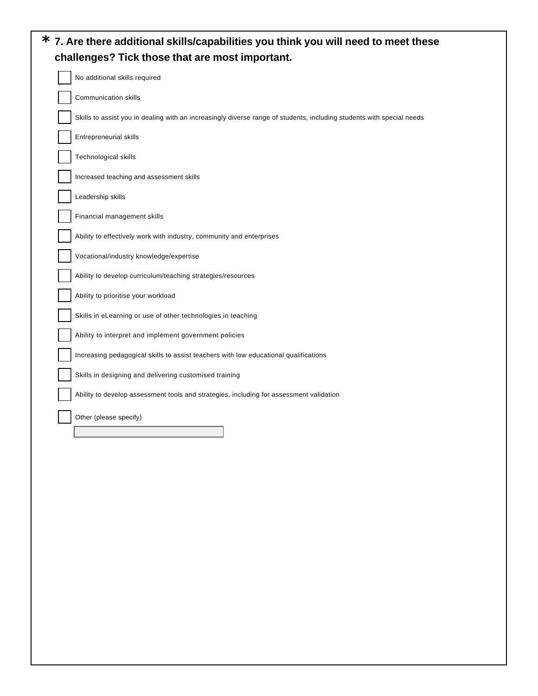| Communication skills<br>Skills to assist you in dealing with an increasingly diverse range of students, including students with special needs<br>Entrepreneurial skills<br>Technological skills<br>Increased teaching and assessment skills<br>Leadership skills<br>Financial management skills<br>Ability to effectively work with industry, community and enterprises<br>Vocational/industry knowledge/expertise<br>Ability to develop curriculum/teaching strategies/resources<br>Ability to prioritise your workload<br>Skills in eLearning or use of other technologies in teaching<br>Ability to interpret and implement government policies<br>Increasing pedagogical skills to assist teachers with low educational qualifications<br>Skills in designing and delivering customised training<br>Ability to develop assessment tools and strategies, including for assessment validation<br>Other (please specify) |  |  |  |  | No additional skills required |
|---------------------------------------------------------------------------------------------------------------------------------------------------------------------------------------------------------------------------------------------------------------------------------------------------------------------------------------------------------------------------------------------------------------------------------------------------------------------------------------------------------------------------------------------------------------------------------------------------------------------------------------------------------------------------------------------------------------------------------------------------------------------------------------------------------------------------------------------------------------------------------------------------------------------------|--|--|--|--|-------------------------------|
|                                                                                                                                                                                                                                                                                                                                                                                                                                                                                                                                                                                                                                                                                                                                                                                                                                                                                                                           |  |  |  |  |                               |
|                                                                                                                                                                                                                                                                                                                                                                                                                                                                                                                                                                                                                                                                                                                                                                                                                                                                                                                           |  |  |  |  |                               |
|                                                                                                                                                                                                                                                                                                                                                                                                                                                                                                                                                                                                                                                                                                                                                                                                                                                                                                                           |  |  |  |  |                               |
|                                                                                                                                                                                                                                                                                                                                                                                                                                                                                                                                                                                                                                                                                                                                                                                                                                                                                                                           |  |  |  |  |                               |
|                                                                                                                                                                                                                                                                                                                                                                                                                                                                                                                                                                                                                                                                                                                                                                                                                                                                                                                           |  |  |  |  |                               |
|                                                                                                                                                                                                                                                                                                                                                                                                                                                                                                                                                                                                                                                                                                                                                                                                                                                                                                                           |  |  |  |  |                               |
|                                                                                                                                                                                                                                                                                                                                                                                                                                                                                                                                                                                                                                                                                                                                                                                                                                                                                                                           |  |  |  |  |                               |
|                                                                                                                                                                                                                                                                                                                                                                                                                                                                                                                                                                                                                                                                                                                                                                                                                                                                                                                           |  |  |  |  |                               |
|                                                                                                                                                                                                                                                                                                                                                                                                                                                                                                                                                                                                                                                                                                                                                                                                                                                                                                                           |  |  |  |  |                               |
|                                                                                                                                                                                                                                                                                                                                                                                                                                                                                                                                                                                                                                                                                                                                                                                                                                                                                                                           |  |  |  |  |                               |
|                                                                                                                                                                                                                                                                                                                                                                                                                                                                                                                                                                                                                                                                                                                                                                                                                                                                                                                           |  |  |  |  |                               |
|                                                                                                                                                                                                                                                                                                                                                                                                                                                                                                                                                                                                                                                                                                                                                                                                                                                                                                                           |  |  |  |  |                               |
|                                                                                                                                                                                                                                                                                                                                                                                                                                                                                                                                                                                                                                                                                                                                                                                                                                                                                                                           |  |  |  |  |                               |
|                                                                                                                                                                                                                                                                                                                                                                                                                                                                                                                                                                                                                                                                                                                                                                                                                                                                                                                           |  |  |  |  |                               |
|                                                                                                                                                                                                                                                                                                                                                                                                                                                                                                                                                                                                                                                                                                                                                                                                                                                                                                                           |  |  |  |  |                               |
|                                                                                                                                                                                                                                                                                                                                                                                                                                                                                                                                                                                                                                                                                                                                                                                                                                                                                                                           |  |  |  |  |                               |
|                                                                                                                                                                                                                                                                                                                                                                                                                                                                                                                                                                                                                                                                                                                                                                                                                                                                                                                           |  |  |  |  |                               |
|                                                                                                                                                                                                                                                                                                                                                                                                                                                                                                                                                                                                                                                                                                                                                                                                                                                                                                                           |  |  |  |  |                               |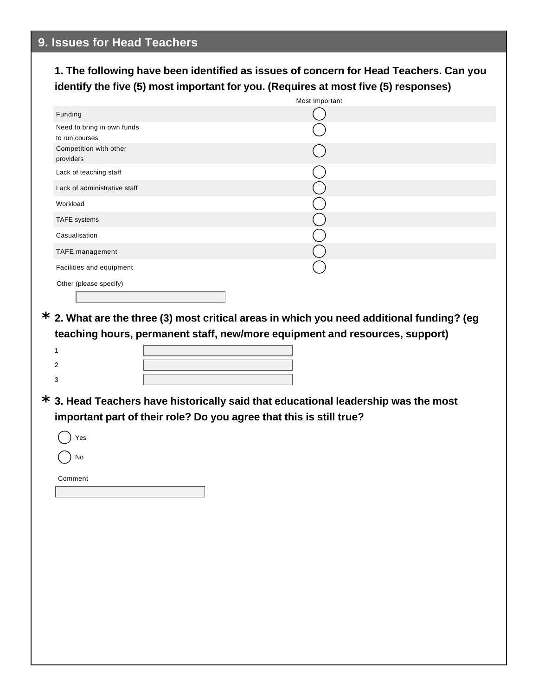#### **1. The following have been identified as issues of concern for Head Teachers. Can you identify the five (5) most important for you. (Requires at most five (5) responses)**

|                                              | Most Important |
|----------------------------------------------|----------------|
| Funding                                      |                |
| Need to bring in own funds<br>to run courses |                |
| Competition with other<br>providers          |                |
| Lack of teaching staff                       |                |
| Lack of administrative staff                 |                |
| Workload                                     |                |
| TAFE systems                                 |                |
| Casualisation                                |                |
| TAFE management                              |                |
| Facilities and equipment                     |                |
| Other (please specify)                       |                |
|                                              |                |

#### **2. What are the three (3) most critical areas in which you need additional funding? (eg \* teaching hours, permanent staff, new/more equipment and resources, support)**

**3. Head Teachers have historically said that educational leadership was the most \* important part of their role? Do you agree that this is still true?**

| 'es |
|-----|
| No  |

Comment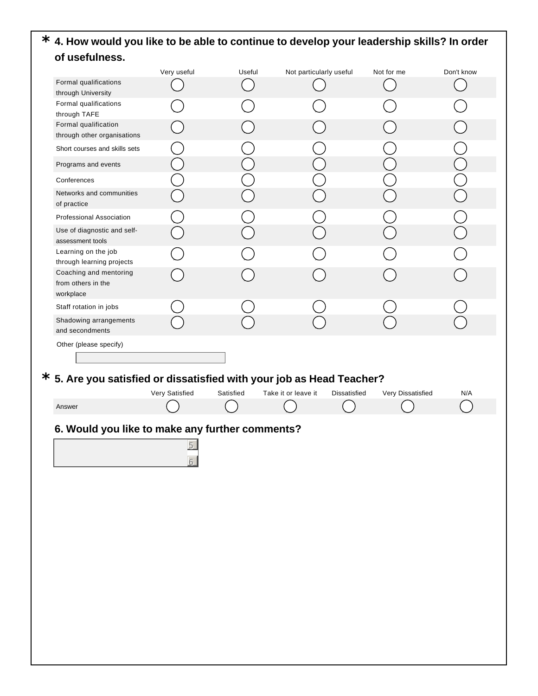#### **4. How would you like to be able to continue to develop your leadership skills? In order \* of usefulness.**

|                                                                         | Very useful    | Useful    | Not particularly useful             | Not for me        | Don't know |
|-------------------------------------------------------------------------|----------------|-----------|-------------------------------------|-------------------|------------|
| Formal qualifications<br>through University                             |                |           |                                     |                   |            |
| Formal qualifications<br>through TAFE                                   |                |           |                                     |                   |            |
| Formal qualification                                                    |                |           |                                     |                   |            |
| through other organisations                                             |                |           |                                     |                   |            |
| Short courses and skills sets                                           |                |           |                                     |                   |            |
| Programs and events                                                     |                |           |                                     |                   |            |
| Conferences                                                             |                |           |                                     |                   |            |
| Networks and communities<br>of practice                                 |                |           |                                     |                   |            |
| Professional Association                                                |                |           |                                     |                   |            |
| Use of diagnostic and self-<br>assessment tools                         |                |           |                                     |                   |            |
| Learning on the job                                                     |                |           |                                     |                   |            |
| through learning projects<br>Coaching and mentoring                     |                |           |                                     |                   |            |
| from others in the<br>workplace                                         |                |           |                                     |                   |            |
| Staff rotation in jobs                                                  |                |           |                                     |                   |            |
| Shadowing arrangements<br>and secondments                               |                |           |                                     |                   |            |
| Other (please specify)                                                  |                |           |                                     |                   |            |
|                                                                         |                |           |                                     |                   |            |
|                                                                         |                |           |                                     |                   |            |
|                                                                         |                |           |                                     |                   |            |
| $*$ 5. Are you satisfied or dissatisfied with your job as Head Teacher? |                |           |                                     |                   |            |
|                                                                         | Very Satisfied | Satisfied | Take it or leave it<br>Dissatisfied | Very Dissatisfied | N/A        |
| Answer                                                                  |                |           |                                     |                   |            |
| 6. Would you like to make any further comments?                         |                |           |                                     |                   |            |
|                                                                         | 5              |           |                                     |                   |            |
|                                                                         |                |           |                                     |                   |            |
|                                                                         |                |           |                                     |                   |            |
|                                                                         |                |           |                                     |                   |            |
|                                                                         |                |           |                                     |                   |            |
|                                                                         |                |           |                                     |                   |            |
|                                                                         |                |           |                                     |                   |            |
|                                                                         |                |           |                                     |                   |            |
|                                                                         |                |           |                                     |                   |            |
|                                                                         |                |           |                                     |                   |            |
|                                                                         |                |           |                                     |                   |            |
|                                                                         |                |           |                                     |                   |            |
|                                                                         |                |           |                                     |                   |            |
|                                                                         |                |           |                                     |                   |            |